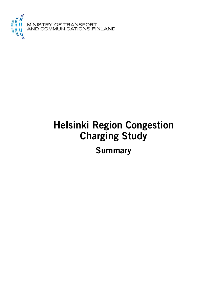

# **Helsinki Region Congestion Charging Study**

**Summary**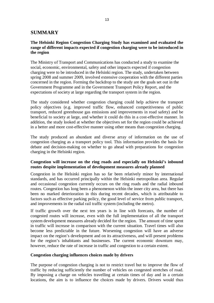# **SUMMARY**

# **The Helsinki Region Congestion Charging Study has examined and evaluated the range of different impacts expected if congestion charging were to be introduced in the region**

The Ministry of Transport and Communications has conducted a study to examine the social, economic, environmental, safety and other impacts expected if congestion charging were to be introduced in the Helsinki region. The study, undertaken between spring 2008 and summer 2009, involved extensive cooperation with the different parties concerned in the region. Forming the backdrop to the study are the goals set out in the Government Programme and in the Government Transport Policy Report, and the expectations of society at large regarding the transport system in the region.

The study considered whether congestion charging could help achieve the transport policy objectives (e.g. improved traffic flow, enhanced competitiveness of public transport, reduced greenhouse gas emissions and improvements in road safety) and be beneficial to society at large, and whether it could do this in a cost-effective manner. In addition, the study looked at whether the objectives set for the region could be achieved in a better and more cost-effective manner using other means than congestion charging.

The study produced an abundant and diverse array of information on the use of congestion charging as a transport policy tool. This information provides the basis for debate and decision-making on whether to go ahead with preparations for congestion charging in the Helsinki region.

# **Congestion will increase on the ring roads and especially on Helsinki's inbound routes despite implementation of development measures already planned**

Congestion in the Helsinki region has so far been relatively minor by international standards, and has occurred principally within the Helsinki metropolitan area. Regular and occasional congestion currently occurs on the ring roads and the radial inbound routes. Congestion has long been a phenomenon within the inner city area, but there has been no marked deterioration in this during recent decades, which is attributable to factors such as effective parking policy, the good level of service from public transport, and improvements in the radial rail traffic system (including the metro).

If traffic growth over the next ten years is in line with forecasts, the number of congested routes will increase, even with the full implementation of all the transport system development measures already decided for the region. The amount of time spent in traffic will increase in comparison with the current situation. Travel times will also become less predictable in the future. Worsening congestion will have an adverse impact on the region's development and on its attractiveness, and will present problems for the region's inhabitants and businesses. The current economic downturn may, however, reduce the rate of increase in traffic and congestion to a certain extent.

# **Congestion charging influences choices made by drivers**

The purpose of congestion charging is not to restrict travel but to improve the flow of traffic by reducing sufficiently the number of vehicles on congested stretches of road. By imposing a charge on vehicles travelling at certain times of day and in a certain locations, the aim is to influence the choices made by drivers. Drivers would thus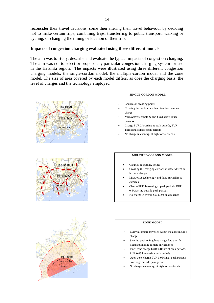reconsider their travel decisions, some then altering their travel behaviour by deciding not to make certain trips, combining trips, transferring to public transport, walking or cycling, or changing the timing or location of their trip.

# **Impacts of congestion charging evaluated using three different models**

The aim was to study, describe and evaluate the typical impacts of congestion charging. The aim was not to select or propose any particular congestion charging system for use in the Helsinki region. The impacts were illustrated using three different congestion charging models: the single-cordon model, the multiple-cordon model and the zone model. The size of area covered by each model differs, as does the charging basis, the level of charges and the technology employed.





#### **SINGLE-CORDON MODEL**

- Gantries at crossing points
- Crossing the cordon in either direction incurs a charge
- Microwave technology and fixed surveillance cameras
- x Charge EUR 2/crossing at peak periods, EUR 1/crossing outside peak periods
- No charge in evening, at night or weekends

### **MULTIPLE-CORDON MODEL**

- Gantries at crossing points
- Crossing the charging cordons in either direction incurs a charge
- Microwave technology and fixed surveillance cameras
- x Charge EUR 1/crossing at peak periods, EUR 0.5/crossing outside peak periods
- No charge in evening, at night or weekends



#### **ZONE MODEL**

- Every kilometre travelled within the zone incurs a charge
- Satellite positioning, long-range data transfer, fixed and mobile camera surveillance
- Inner zone charge EUR 0.10/km at peak periods, EUR 0.05/km outside peak periods
- Outer zone charge EUR 0.05/km at peak periods, no charge outside peak periods
- No charge in evening, at night or weekends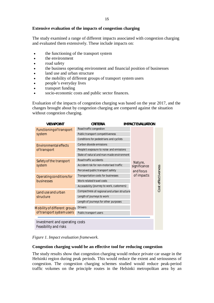# **Extensive evaluation of the impacts of congestion charging**

The study examined a range of different impacts associated with congestion charging and evaluated them extensively. These include impacts on:

- the functioning of the transport system
- $\bullet$  the environment
- road safety
- the business operating environment and financial position of businesses
- land use and urban structure
- the mobility of different groups of transport system users
- $\bullet$  people's everyday lives
- transport funding
- socio-economic costs and public sector finances.

Evaluation of the impacts of congestion charging was based on the year 2017, and the changes brought about by congestion charging are compared against the situation without congestion charging.

| <b>VIEWPOINT</b>                             | CRITERIA                                    | <b>IMPACT EVALUATION</b> |  |                    |
|----------------------------------------------|---------------------------------------------|--------------------------|--|--------------------|
| Functioning of transport<br>system           | Road traffic congestion                     |                          |  |                    |
|                                              | Public transport competitiveness            |                          |  |                    |
|                                              | Conditions for pedestrians and cyclists     |                          |  |                    |
| <b>Environmental effects</b><br>of transport | Carbon dioxide emissions                    |                          |  |                    |
|                                              | People's exposure to noise and emissions    |                          |  | Cost effectiveness |
|                                              | State of natural and man-made environment   |                          |  |                    |
| Safety of the transport<br>system            | Road traffic accidents                      | Nature,                  |  |                    |
|                                              | Accident risk for non-motorised traffic     | significance             |  |                    |
|                                              | Perceived public transport safety           | and focus                |  |                    |
| Operating conditions for<br>businesses       | Transportation costs for businesses         | of impacts               |  |                    |
|                                              | Work-related travel costs                   |                          |  |                    |
|                                              | Accessibility (journey to work, customers)  |                          |  |                    |
| Land use and urban<br>structure              | Compactness of regional and urban structure |                          |  |                    |
|                                              | Length of journeys to work                  |                          |  |                    |
|                                              | Length of journeys for other purposes       |                          |  |                    |
| Mobility of different groups                 | <b>Drivers</b>                              |                          |  |                    |
| of transport system users                    | Public transport users                      |                          |  |                    |
|                                              |                                             |                          |  |                    |
| Investment and operating costs               |                                             |                          |  |                    |
| Feasibility and risks                        |                                             |                          |  |                    |

*Figure 1. Impact evaluation framework.*

## **Congestion charging would be an effective tool for reducing congestion**

The study results show that congestion charging would reduce private car usage in the Helsinki region during peak periods. This would reduce the extent and seriousness of congestion. The congestion charging schemes studied would reduce peak-period traffic volumes on the principle routes in the Helsinki metropolitan area by an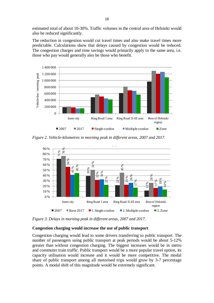estimated total of about 10-30%. Traffic volumes in the central area of Helsinki would also be reduced significantly.

The reduction in congestion would cut travel times and also make travel times more predictable. Calculations show that delays caused by congestion would be reduced. The congestion charges and time savings would primarily apply to the same area, i.e. those who pay would generally also be those who benefit.



*Figure 2. Vehicle-kilometres in morning peak in different areas, 2007 and 2017.*



*Figure 3. Delays in morning peak in different areas, 2007 and 2017.*

# **Congestion charging would increase the use of public transport**

Congestion charging would lead to some drivers transferring to public transport. The number of passengers using public transport at peak periods would be about 5-12% greater than without congestion charging. The biggest increases would be in metro and commuter train traffic. Public transport would be a more popular travel option, its capacity utilisation would increase and it would be more competitive. The modal share of public transport among all motorised trips would grow by 3-7 percentage points. A modal shift of this magnitude would be extremely significant.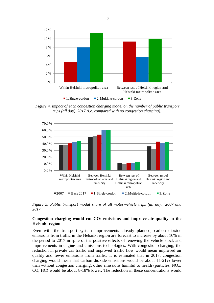

 *Figure 4. Impact of each congestion charging model on the number of public transport trips (all day), 2017 (i.e. compared with no congestion charging).*



*Figure 5. Public transport modal share of all motor-vehicle trips (all day), 2007 and 2017.*

# **Congestion charging would cut CO2 emissions and improve air quality in the Helsinki region**

Even with the transport system improvements already planned, carbon dioxide emissions from traffic in the Helsinki region are forecast to increase by about 16% in the period to 2017 in spite of the positive effects of renewing the vehicle stock and improvements in engine and emissions technologies. With congestion charging, the reduction in private car traffic and improved traffic flow would mean improved air quality and fewer emissions from traffic. It is estimated that in 2017, congestion charging would mean that carbon dioxide emissions would be about 11-21% lower than without congestion charging; other emissions harmful to health (particles, NOx, CO, HC) would be about 8-18% lower. The reduction in these concentrations would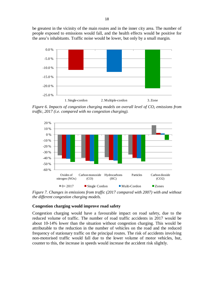be greatest in the vicinity of the main routes and in the inner city area. The number of people exposed to emissions would fall, and the health effects would be positive for the area's inhabitants. Traffic noise would be lower, but only by a small margin.



*Figure 6. Impacts of congestion charging models on overall level of CO2 emissions from traffic, 2017 (i.e. compared with no congestion charging).*



*Figure 7. Changes in emissions from traffic (2017 compared with 2007) with and without the different congestion charging models.*

## **Congestion charging would improve road safety**

Congestion charging would have a favourable impact on road safety, due to the reduced volume of traffic. The number of road traffic accidents in 2017 would be about 10-14% lower than the situation without congestion charging. This would be attributable to the reduction in the number of vehicles on the road and the reduced frequency of stationary traffic on the principal routes. The risk of accidents involving non-motorised traffic would fall due to the lower volume of motor vehicles, but, counter to this, the increase in speeds would increase the accident risk slightly.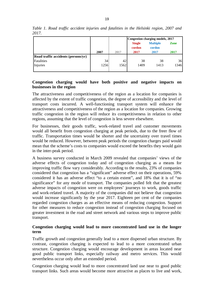|                                     |                 |      | Congestion charging models, 2017 |                           |             |
|-------------------------------------|-----------------|------|----------------------------------|---------------------------|-------------|
|                                     |                 |      | <b>Single</b><br>cordon          | <b>Multiple</b><br>cordon | <b>Zone</b> |
|                                     | 2007            | 2017 | 2017                             | 2017                      | 2017        |
| Road traffic accidents (persons/yr) |                 |      |                                  |                           |             |
| <b>Fatalities</b>                   | 34 <sup>5</sup> | 42   | 38                               | 38                        | 36          |
| Injuries                            | 1256            | 1562 | 1409                             | 1413                      | 1346        |
|                                     |                 |      |                                  |                           |             |

*Table 1. Road traffic accident injuries and fatalities in the Helsinki region, 2007 and 2017.*

# **Congestion charging would have both positive and negative impacts on businesses in the region**

The attractiveness and competitiveness of the region as a location for companies is affected by the extent of traffic congestion, the degree of accessibility and the level of transport costs incurred. A well-functioning transport system will enhance the attractiveness and competitiveness of the region as a location for companies. Growing traffic congestion in the region will reduce its competitiveness in relation to other regions, assuming that the level of congestion is less severe elsewhere.

For businesses, their goods traffic, work-related travel and customer movements would all benefit from congestion charging at peak periods, due to the freer flow of traffic. Transportation times would be shorter and the uncertainty over travel times would be reduced. However, between peak periods the congestion charges paid would mean that the scheme's costs to companies would exceed the benefits they would gain in the inter-peak period.

A business survey conducted in March 2009 revealed that companies' views of the adverse effects of congestion today and of congestion charging as a means for improving traffic flow vary considerably. According to the results, 23% of companies considered that congestion has a "significant" adverse effect on their operations, 59% considered it has an adverse effect "to a certain extent", and 18% that it is of "no significance" for any mode of transport. The companies polled felt that the greatest adverse impacts of congestion were on employees' journeys to work, goods traffic and work-related travel. A majority of the companies did not believe that congestion would increase significantly by the year 2017. Eighteen per cent of the companies regarded congestion charges as an effective means of reducing congestion. Support for other measures to reduce congestion instead of congestion charging focused on greater investment in the road and street network and various steps to improve public transport.

# **Congestion charging would lead to more concentrated land use in the longer term**

Traffic growth and congestion generally lead to a more dispersed urban structure. By contrast, congestion charging is expected to lead to a more concentrated urban structure. Congestion charging would encourage development in areas located near good public transport links, especially railway and metro services. This would nevertheless occur only after an extended period.

Congestion charging would lead to more concentrated land use near to good public transport links. Such areas would become more attractive as places to live and work,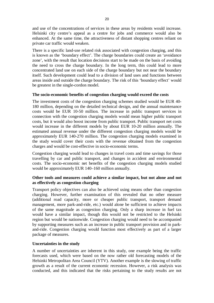and use of the concentrations of services in these areas by residents would increase. Helsinki city centre's appeal as a centre for jobs and commerce would also be enhanced. At the same time, the attractiveness of distant shopping centres reliant on private car traffic would weaken.

There is a specific land-use related risk associated with congestion charging, and this is known as the 'boundary effect'. The charge boundaries could create an 'avoidance zone', with the result that location decisions start to be made on the basis of avoiding the need to cross the charge boundary. In the long term, this could lead to more concentrated land use on each side of the charge boundary but not near the boundary itself. Such development could lead to a division of land uses and functions between areas inside and outside the charge boundary. The risk of this 'boundary effect' would be greatest in the single-cordon model.

# **The socio-economic benefits of congestion charging would exceed the costs**

The investment costs of the congestion charging schemes studied would be EUR 40- 180 million, depending on the detailed technical design, and the annual maintenance costs would be EUR 10-50 million. The increase in public transport services in connection with the congestion charging models would mean higher public transport costs, but it would also boost income from public transport. Public transport net costs would increase in the different models by about EUR 10-20 million annually. The estimated annual revenue under the different congestion charging models would be approximately EUR 140-270 million. The congestion charging models examined in the study would cover their costs with the revenue obtained from the congestion charges and would be cost-effective in socio-economic terms.

Congestion charging would lead to changes in travel costs and time savings for those travelling by car and public transport, and changes in accident and environmental costs. The socio-economic net benefits of the congestion charging models studied would be approximately EUR 140–160 million annually.

# **Other tools and measures could achieve a similar impact, but not alone and not as effectively as congestion charging**

Transport policy objectives can also be achieved using means other than congestion charging. However, further examination of this revealed that no other measure (additional road capacity, more or cheaper public transport, transport demand management, more park-and-ride, etc.) would alone be sufficient to achieve impacts of the same magnitude as congestion charging. Only a sharp increase in fuel tax would have a similar impact, though this would not be restricted to the Helsinki region but would be nationwide. Congestion charging would need to be accompanied by supporting measures such as an increase in public transport provision and in parkand-ride. Congestion charging would function most effectively as part of a larger package of measures.

# **Uncertainties in the study**

A number of uncertainties are inherent in this study, one example being the traffic forecasts used, which were based on the now rather old forecasting models of the Helsinki Metropolitan Area Council (YTV). Another example is the slowing of traffic growth as a result of the current economic recession. However, a risk analysis was conducted, and this indicated that the risks pertaining to the study results are not